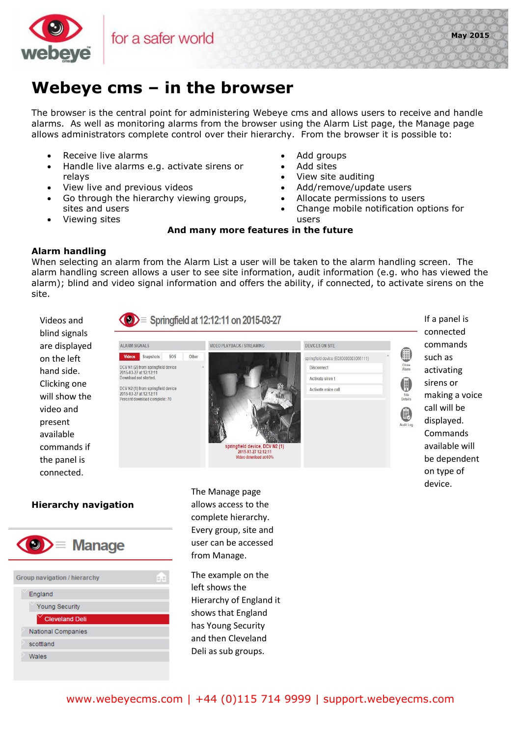

## **Webeye cms – in the browser**

The browser is the central point for administering Webeye cms and allows users to receive and handle alarms. As well as monitoring alarms from the browser using the Alarm List page, the Manage page allows administrators complete control over their hierarchy. From the browser it is possible to:

- Receive live alarms
- Handle live alarms e.g. activate sirens or relays
- View live and previous videos
- Go through the hierarchy viewing groups, sites and users
- Viewing sites
- Add groups
- Add sites
- View site auditing
- Add/remove/update users
- Allocate permissions to users
- Change mobile notification options for users

## **And many more features in the future**

## **Alarm handling**

When selecting an alarm from the Alarm List a user will be taken to the alarm handling screen. The alarm handling screen allows a user to see site information, audit information (e.g. who has viewed the alarm); blind and video signal information and offers the ability, if connected, to activate sirens on the site.